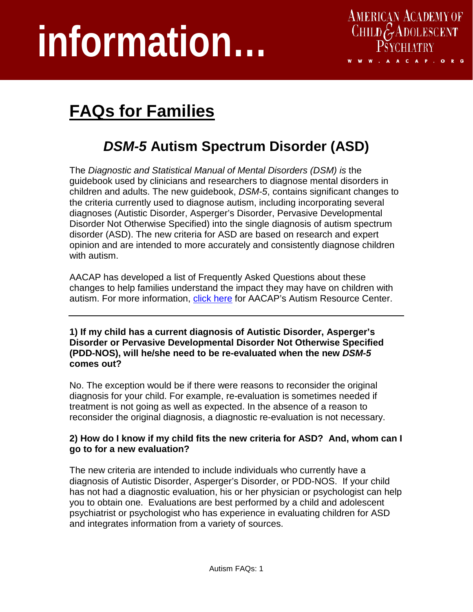# **information…**



## **FAQs for Families**

### *DSM-5* **Autism Spectrum Disorder (ASD)**

The *Diagnostic and Statistical Manual of Mental Disorders (DSM) is* the guidebook used by clinicians and researchers to diagnose mental disorders in children and adults. The new guidebook, *DSM-5*, contains significant changes to the criteria currently used to diagnose autism, including incorporating several diagnoses (Autistic Disorder, Asperger's Disorder, Pervasive Developmental Disorder Not Otherwise Specified) into the single diagnosis of autism spectrum disorder (ASD). The new criteria for ASD are based on research and expert opinion and are intended to more accurately and consistently diagnose children with autism.

AACAP has developed a list of Frequently Asked Questions about these changes to help families understand the impact they may have on children with autism. For more information, [click here](http://www.aacap.org/cs/Autism.ResourceCenter) [for AACAP's Autism Resource Center.](http://www.aacap.org/cs/Autism.ResourceCenter)

**1) If my child has a current diagnosis of Autistic Disorder, Asperger's Disorder or Pervasive Developmental Disorder Not Otherwise Specified (PDD-NOS), will he/she need to be re-evaluated when the new** *DSM-5* **comes out?** 

No. The exception would be if there were reasons to reconsider the original diagnosis for your child. For example, re-evaluation is sometimes needed if treatment is not going as well as expected. In the absence of a reason to reconsider the original diagnosis, a diagnostic re-evaluation is not necessary.

#### **2) How do I know if my child fits the new criteria for ASD? And, whom can I go to for a new evaluation?**

The new criteria are intended to include individuals who currently have a diagnosis of Autistic Disorder, Asperger's Disorder, or PDD-NOS. If your child has not had a diagnostic evaluation, his or her physician or psychologist can help you to obtain one. Evaluations are best performed by a child and adolescent psychiatrist or psychologist who has experience in evaluating children for ASD and integrates information from a variety of sources.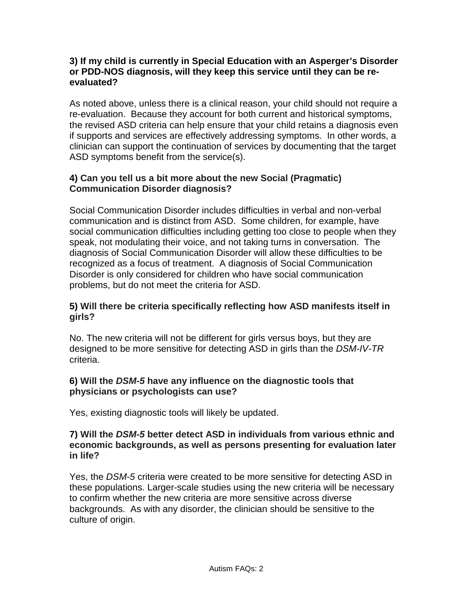#### **3) If my child is currently in Special Education with an Asperger's Disorder or PDD-NOS diagnosis, will they keep this service until they can be reevaluated?**

As noted above, unless there is a clinical reason, your child should not require a re-evaluation. Because they account for both current and historical symptoms, the revised ASD criteria can help ensure that your child retains a diagnosis even if supports and services are effectively addressing symptoms. In other words, a clinician can support the continuation of services by documenting that the target ASD symptoms benefit from the service(s).

#### **4) Can you tell us a bit more about the new Social (Pragmatic) Communication Disorder diagnosis?**

Social Communication Disorder includes difficulties in verbal and non-verbal communication and is distinct from ASD. Some children, for example, have social communication difficulties including getting too close to people when they speak, not modulating their voice, and not taking turns in conversation. The diagnosis of Social Communication Disorder will allow these difficulties to be recognized as a focus of treatment. A diagnosis of Social Communication Disorder is only considered for children who have social communication problems, but do not meet the criteria for ASD.

#### **5) Will there be criteria specifically reflecting how ASD manifests itself in girls?**

No. The new criteria will not be different for girls versus boys, but they are designed to be more sensitive for detecting ASD in girls than the *DSM-IV-TR* criteria.

#### **6) Will the** *DSM-5* **have any influence on the diagnostic tools that physicians or psychologists can use?**

Yes, existing diagnostic tools will likely be updated.

#### **7) Will the** *DSM-5* **better detect ASD in individuals from various ethnic and economic backgrounds, as well as persons presenting for evaluation later in life?**

Yes, the *DSM-5* criteria were created to be more sensitive for detecting ASD in these populations. Larger-scale studies using the new criteria will be necessary to confirm whether the new criteria are more sensitive across diverse backgrounds. As with any disorder, the clinician should be sensitive to the culture of origin.